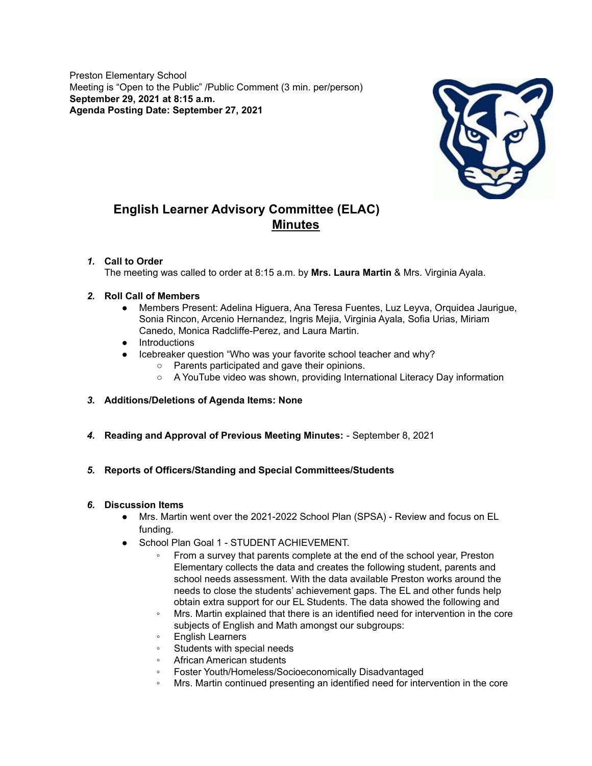Preston Elementary School Meeting is "Open to the Public" /Public Comment (3 min. per/person) **September 29, 2021 at 8:15 a.m. Agenda Posting Date: September 27, 2021**



## **English Learner Advisory Committee (ELAC) Minutes**

### *1.* **Call to Order**

The meeting was called to order at 8:15 a.m. by **Mrs. Laura Martin** & Mrs. Virginia Ayala.

### *2.* **Roll Call of Members**

- Members Present: Adelina Higuera, Ana Teresa Fuentes, Luz Leyva, Orquidea Jaurigue, Sonia Rincon, Arcenio Hernandez, Ingris Mejia, Virginia Ayala, Sofia Urias, Miriam Canedo, Monica Radcliffe-Perez, and Laura Martin.
- Introductions
- Icebreaker question "Who was your favorite school teacher and why?
	- Parents participated and gave their opinions.
	- A YouTube video was shown, providing International Literacy Day information

### *3.* **Additions/Deletions of Agenda Items: None**

*4.* **Reading and Approval of Previous Meeting Minutes:** - September 8, 2021

### *5.* **Reports of Officers/Standing and Special Committees/Students**

#### *6.* **Discussion Items**

- Mrs. Martin went over the 2021-2022 School Plan (SPSA) Review and focus on EL funding.
- School Plan Goal 1 STUDENT ACHIEVEMENT.
	- From a survey that parents complete at the end of the school year, Preston Elementary collects the data and creates the following student, parents and school needs assessment. With the data available Preston works around the needs to close the students' achievement gaps. The EL and other funds help obtain extra support for our EL Students. The data showed the following and
	- Mrs. Martin explained that there is an identified need for intervention in the core subjects of English and Math amongst our subgroups:
	- English Learners
	- Students with special needs
	- African American students
	- Foster Youth/Homeless/Socioeconomically Disadvantaged
	- Mrs. Martin continued presenting an identified need for intervention in the core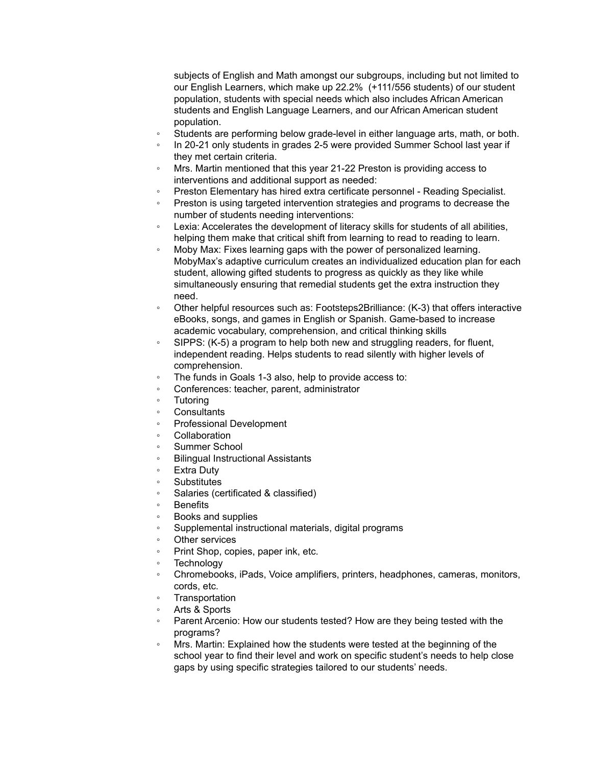subjects of English and Math amongst our subgroups, including but not limited to our English Learners, which make up 22.2% (+111/556 students) of our student population, students with special needs which also includes African American students and English Language Learners, and our African American student population.

- Students are performing below grade-level in either language arts, math, or both.
- In 20-21 only students in grades 2-5 were provided Summer School last year if they met certain criteria.
- Mrs. Martin mentioned that this year 21-22 Preston is providing access to interventions and additional support as needed:
- Preston Elementary has hired extra certificate personnel Reading Specialist.
- Preston is using targeted intervention strategies and programs to decrease the number of students needing interventions:
- Lexia: Accelerates the development of literacy skills for students of all abilities, helping them make that critical shift from learning to read to reading to learn.
- Moby Max: Fixes learning gaps with the power of personalized learning. MobyMax's adaptive curriculum creates an individualized education plan for each student, allowing gifted students to progress as quickly as they like while simultaneously ensuring that remedial students get the extra instruction they need.
- Other helpful resources such as: Footsteps2Brilliance: (K-3) that offers interactive eBooks, songs, and games in English or Spanish. Game-based to increase academic vocabulary, comprehension, and critical thinking skills
- SIPPS: (K-5) a program to help both new and struggling readers, for fluent, independent reading. Helps students to read silently with higher levels of comprehension.
- The funds in Goals 1-3 also, help to provide access to:
- Conferences: teacher, parent, administrator
- **Tutoring**
- **Consultants**
- Professional Development
- **Collaboration**
- Summer School
- **Bilingual Instructional Assistants**
- **Extra Duty**
- Substitutes
- Salaries (certificated & classified)
- **Benefits**
- Books and supplies
- Supplemental instructional materials, digital programs
- Other services
- Print Shop, copies, paper ink, etc.
- Technology
- Chromebooks, iPads, Voice amplifiers, printers, headphones, cameras, monitors, cords, etc.
- **Transportation**
- Arts & Sports
- Parent Arcenio: How our students tested? How are they being tested with the programs?
- Mrs. Martin: Explained how the students were tested at the beginning of the school year to find their level and work on specific student's needs to help close gaps by using specific strategies tailored to our students' needs.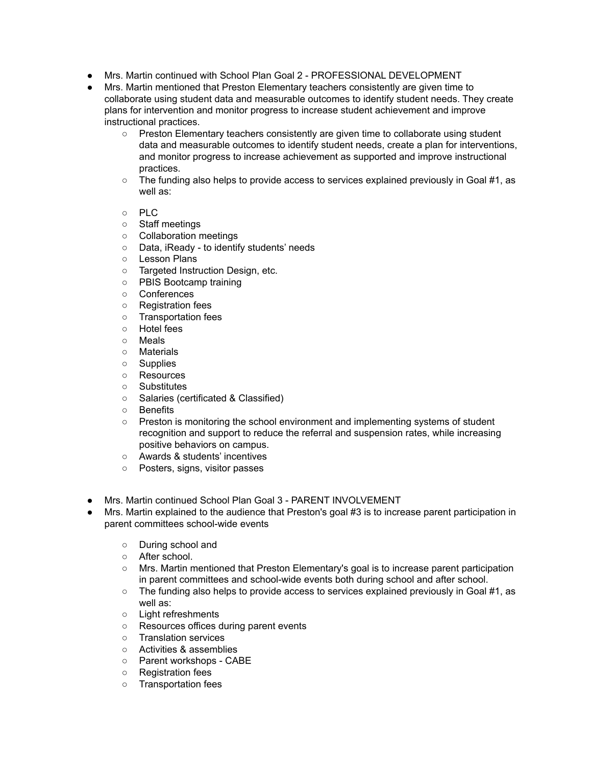- Mrs. Martin continued with School Plan Goal 2 PROFESSIONAL DEVELOPMENT
- Mrs. Martin mentioned that Preston Elementary teachers consistently are given time to collaborate using student data and measurable outcomes to identify student needs. They create plans for intervention and monitor progress to increase student achievement and improve instructional practices.
	- Preston Elementary teachers consistently are given time to collaborate using student data and measurable outcomes to identify student needs, create a plan for interventions, and monitor progress to increase achievement as supported and improve instructional practices.
	- The funding also helps to provide access to services explained previously in Goal #1, as well as:
	- PLC
	- Staff meetings
	- Collaboration meetings
	- Data, iReady to identify students' needs
	- Lesson Plans
	- Targeted Instruction Design, etc.
	- PBIS Bootcamp training
	- Conferences
	- Registration fees
	- Transportation fees
	- Hotel fees
	- Meals
	- Materials
	- Supplies
	- Resources
	- Substitutes
	- Salaries (certificated & Classified)
	- Benefits
	- Preston is monitoring the school environment and implementing systems of student recognition and support to reduce the referral and suspension rates, while increasing positive behaviors on campus.
	- Awards & students' incentives
	- Posters, signs, visitor passes
- Mrs. Martin continued School Plan Goal 3 PARENT INVOLVEMENT
- Mrs. Martin explained to the audience that Preston's goal #3 is to increase parent participation in parent committees school-wide events
	- During school and
	- After school.
	- Mrs. Martin mentioned that Preston Elementary's goal is to increase parent participation in parent committees and school-wide events both during school and after school.
	- The funding also helps to provide access to services explained previously in Goal #1, as well as:
	- Light refreshments
	- Resources offices during parent events
	- Translation services
	- Activities & assemblies
	- Parent workshops CABE
	- Registration fees
	- Transportation fees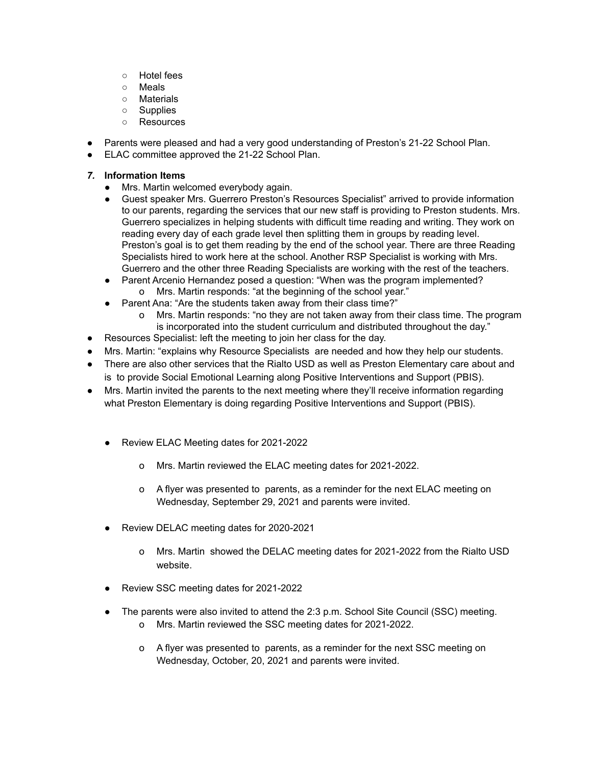- Hotel fees
- Meals
- Materials
- Supplies
- Resources
- Parents were pleased and had a very good understanding of Preston's 21-22 School Plan.
- ELAC committee approved the 21-22 School Plan.
- *7.* **Information Items**
	- Mrs. Martin welcomed everybody again.
	- Guest speaker Mrs. Guerrero Preston's Resources Specialist" arrived to provide information to our parents, regarding the services that our new staff is providing to Preston students. Mrs. Guerrero specializes in helping students with difficult time reading and writing. They work on reading every day of each grade level then splitting them in groups by reading level. Preston's goal is to get them reading by the end of the school year. There are three Reading Specialists hired to work here at the school. Another RSP Specialist is working with Mrs. Guerrero and the other three Reading Specialists are working with the rest of the teachers.
	- Parent Arcenio Hernandez posed a question: "When was the program implemented? o Mrs. Martin responds: "at the beginning of the school year."
	- Parent Ana: "Are the students taken away from their class time?"
		- o Mrs. Martin responds: "no they are not taken away from their class time. The program is incorporated into the student curriculum and distributed throughout the day."
- Resources Specialist: left the meeting to join her class for the day.
- Mrs. Martin: "explains why Resource Specialists are needed and how they help our students.
- There are also other services that the Rialto USD as well as Preston Elementary care about and is to provide Social Emotional Learning along Positive Interventions and Support (PBIS).
- Mrs. Martin invited the parents to the next meeting where they'll receive information regarding what Preston Elementary is doing regarding Positive Interventions and Support (PBIS).
	- Review ELAC Meeting dates for 2021-2022
		- o Mrs. Martin reviewed the ELAC meeting dates for 2021-2022.
		- o A flyer was presented to parents, as a reminder for the next ELAC meeting on Wednesday, September 29, 2021 and parents were invited.
	- Review DELAC meeting dates for 2020-2021
		- o Mrs. Martin showed the DELAC meeting dates for 2021-2022 from the Rialto USD website.
	- Review SSC meeting dates for 2021-2022
	- The parents were also invited to attend the 2:3 p.m. School Site Council (SSC) meeting.
		- o Mrs. Martin reviewed the SSC meeting dates for 2021-2022.
		- o A flyer was presented to parents, as a reminder for the next SSC meeting on Wednesday, October, 20, 2021 and parents were invited.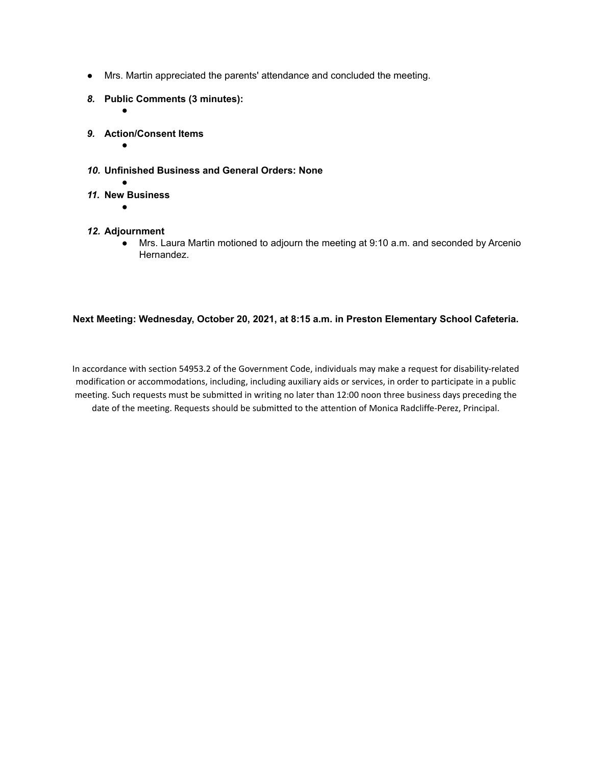- Mrs. Martin appreciated the parents' attendance and concluded the meeting.
- *8.* **Public Comments (3 minutes):**
- *9.* **Action/Consent Items**
	- ●

●

- *10.* **Unfinished Business and General Orders: None**
- *11.* **New Business**
	- ●
- *12.* **Adjournment**
	- Mrs. Laura Martin motioned to adjourn the meeting at 9:10 a.m. and seconded by Arcenio Hernandez.

### **Next Meeting: Wednesday, October 20, 2021, at 8:15 a.m. in Preston Elementary School Cafeteria.**

In accordance with section 54953.2 of the Government Code, individuals may make a request for disability-related modification or accommodations, including, including auxiliary aids or services, in order to participate in a public meeting. Such requests must be submitted in writing no later than 12:00 noon three business days preceding the date of the meeting. Requests should be submitted to the attention of Monica Radcliffe-Perez, Principal.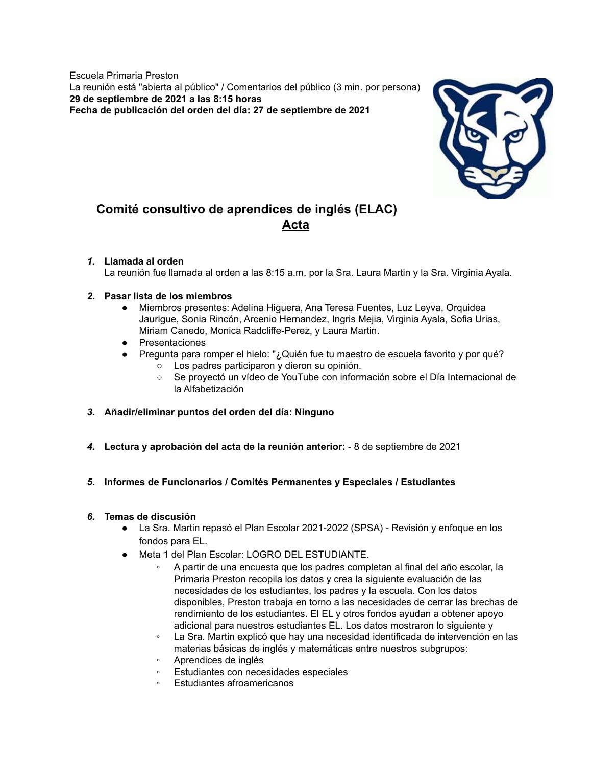Escuela Primaria Preston La reunión está "abierta al público" / Comentarios del público (3 min. por persona) **29 de septiembre de 2021 a las 8:15 horas Fecha de publicación del orden del día: 27 de septiembre de 2021**



# **Comité consultivo de aprendices de inglés (ELAC) Acta**

### *1.* **Llamada al orden**

La reunión fue llamada al orden a las 8:15 a.m. por la Sra. Laura Martin y la Sra. Virginia Ayala.

### *2.* **Pasar lista de los miembros**

- Miembros presentes: Adelina Higuera, Ana Teresa Fuentes, Luz Leyva, Orquidea Jaurigue, Sonia Rincón, Arcenio Hernandez, Ingris Mejia, Virginia Ayala, Sofia Urias, Miriam Canedo, Monica Radcliffe-Perez, y Laura Martin.
- Presentaciones
- Pregunta para romper el hielo: "¿Quién fue tu maestro de escuela favorito y por qué?
	- Los padres participaron y dieron su opinión.
	- Se proyectó un vídeo de YouTube con información sobre el Día Internacional de la Alfabetización
- *3.* **Añadir/eliminar puntos del orden del día: Ninguno**
- *4.* **Lectura y aprobación del acta de la reunión anterior:** 8 de septiembre de 2021
- *5.* **Informes de Funcionarios / Comités Permanentes y Especiales / Estudiantes**

### *6.* **Temas de discusión**

- La Sra. Martin repasó el Plan Escolar 2021-2022 (SPSA) Revisión y enfoque en los fondos para EL.
- Meta 1 del Plan Escolar: LOGRO DEL ESTUDIANTE.
	- A partir de una encuesta que los padres completan al final del año escolar, la Primaria Preston recopila los datos y crea la siguiente evaluación de las necesidades de los estudiantes, los padres y la escuela. Con los datos disponibles, Preston trabaja en torno a las necesidades de cerrar las brechas de rendimiento de los estudiantes. El EL y otros fondos ayudan a obtener apoyo adicional para nuestros estudiantes EL. Los datos mostraron lo siguiente y
	- La Sra. Martin explicó que hay una necesidad identificada de intervención en las materias básicas de inglés y matemáticas entre nuestros subgrupos:
	- Aprendices de inglés
	- Estudiantes con necesidades especiales
	- Estudiantes afroamericanos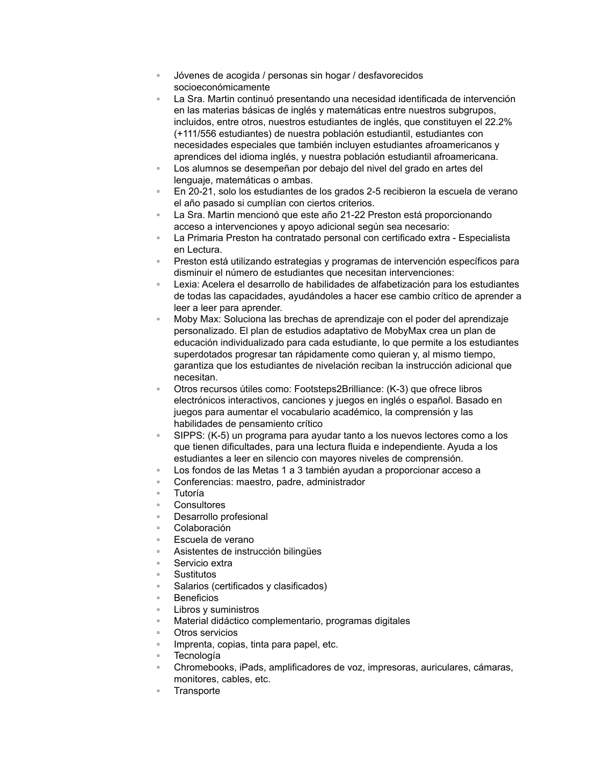- Jóvenes de acogida / personas sin hogar / desfavorecidos socioeconómicamente
- La Sra. Martin continuó presentando una necesidad identificada de intervención en las materias básicas de inglés y matemáticas entre nuestros subgrupos, incluidos, entre otros, nuestros estudiantes de inglés, que constituyen el 22.2% (+111/556 estudiantes) de nuestra población estudiantil, estudiantes con necesidades especiales que también incluyen estudiantes afroamericanos y aprendices del idioma inglés, y nuestra población estudiantil afroamericana.
- Los alumnos se desempeñan por debajo del nivel del grado en artes del lenguaje, matemáticas o ambas.
- En 20-21, solo los estudiantes de los grados 2-5 recibieron la escuela de verano el año pasado si cumplían con ciertos criterios.
- La Sra. Martin mencionó que este año 21-22 Preston está proporcionando acceso a intervenciones y apoyo adicional según sea necesario:
- La Primaria Preston ha contratado personal con certificado extra Especialista en Lectura.
- Preston está utilizando estrategias y programas de intervención específicos para disminuir el número de estudiantes que necesitan intervenciones:
- Lexia: Acelera el desarrollo de habilidades de alfabetización para los estudiantes de todas las capacidades, ayudándoles a hacer ese cambio crítico de aprender a leer a leer para aprender.
- Moby Max: Soluciona las brechas de aprendizaje con el poder del aprendizaje personalizado. El plan de estudios adaptativo de MobyMax crea un plan de educación individualizado para cada estudiante, lo que permite a los estudiantes superdotados progresar tan rápidamente como quieran y, al mismo tiempo, garantiza que los estudiantes de nivelación reciban la instrucción adicional que necesitan.
- Otros recursos útiles como: Footsteps2Brilliance: (K-3) que ofrece libros electrónicos interactivos, canciones y juegos en inglés o español. Basado en juegos para aumentar el vocabulario académico, la comprensión y las habilidades de pensamiento crítico
- SIPPS: (K-5) un programa para ayudar tanto a los nuevos lectores como a los que tienen dificultades, para una lectura fluida e independiente. Ayuda a los estudiantes a leer en silencio con mayores niveles de comprensión.
- Los fondos de las Metas 1 a 3 también ayudan a proporcionar acceso a
- Conferencias: maestro, padre, administrador
- Tutoría
- **Consultores**
- Desarrollo profesional
- Colaboración
- Escuela de verano
- Asistentes de instrucción bilingües
- Servicio extra
- **Sustitutos**
- Salarios (certificados y clasificados)
- **Beneficios**
- Libros y suministros
- Material didáctico complementario, programas digitales
- Otros servicios
- Imprenta, copias, tinta para papel, etc.
- **Tecnología**
- Chromebooks, iPads, amplificadores de voz, impresoras, auriculares, cámaras, monitores, cables, etc.
- **Transporte**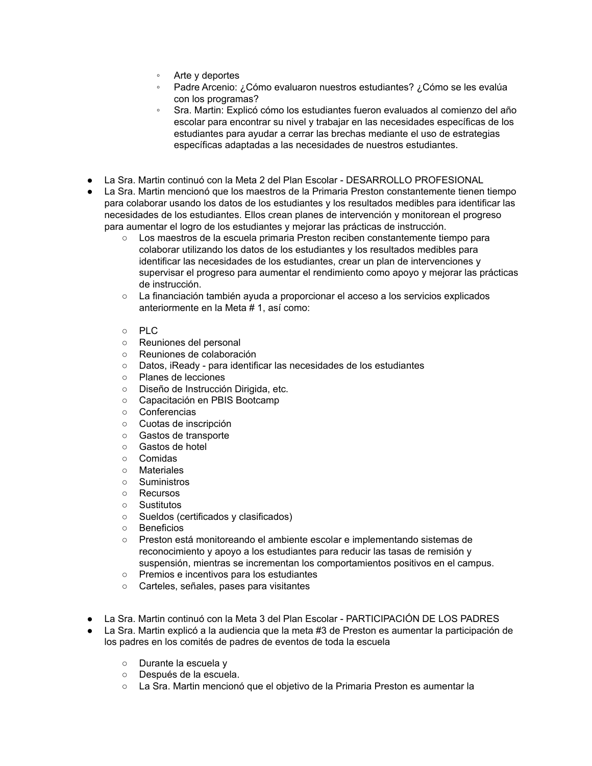- Arte y deportes
- Padre Arcenio: ¿Cómo evaluaron nuestros estudiantes? ¿Cómo se les evalúa con los programas?
- Sra. Martin: Explicó cómo los estudiantes fueron evaluados al comienzo del año escolar para encontrar su nivel y trabajar en las necesidades específicas de los estudiantes para ayudar a cerrar las brechas mediante el uso de estrategias específicas adaptadas a las necesidades de nuestros estudiantes.
- La Sra. Martin continuó con la Meta 2 del Plan Escolar DESARROLLO PROFESIONAL
- La Sra. Martin mencionó que los maestros de la Primaria Preston constantemente tienen tiempo para colaborar usando los datos de los estudiantes y los resultados medibles para identificar las necesidades de los estudiantes. Ellos crean planes de intervención y monitorean el progreso para aumentar el logro de los estudiantes y mejorar las prácticas de instrucción.
	- Los maestros de la escuela primaria Preston reciben constantemente tiempo para colaborar utilizando los datos de los estudiantes y los resultados medibles para identificar las necesidades de los estudiantes, crear un plan de intervenciones y supervisar el progreso para aumentar el rendimiento como apoyo y mejorar las prácticas de instrucción.
	- La financiación también ayuda a proporcionar el acceso a los servicios explicados anteriormente en la Meta # 1, así como:
	- PLC
	- Reuniones del personal
	- Reuniones de colaboración
	- Datos, iReady para identificar las necesidades de los estudiantes
	- Planes de lecciones
	- Diseño de Instrucción Dirigida, etc.
	- Capacitación en PBIS Bootcamp
	- Conferencias
	- Cuotas de inscripción
	- Gastos de transporte
	- Gastos de hotel
	- Comidas
	- Materiales
	- Suministros
	- Recursos
	- Sustitutos
	- Sueldos (certificados y clasificados)
	- Beneficios
	- Preston está monitoreando el ambiente escolar e implementando sistemas de reconocimiento y apoyo a los estudiantes para reducir las tasas de remisión y suspensión, mientras se incrementan los comportamientos positivos en el campus.
	- Premios e incentivos para los estudiantes
	- Carteles, señales, pases para visitantes
- La Sra. Martin continuó con la Meta 3 del Plan Escolar PARTICIPACIÓN DE LOS PADRES
- La Sra. Martin explicó a la audiencia que la meta #3 de Preston es aumentar la participación de los padres en los comités de padres de eventos de toda la escuela
	- Durante la escuela y
	- Después de la escuela.
	- La Sra. Martin mencionó que el objetivo de la Primaria Preston es aumentar la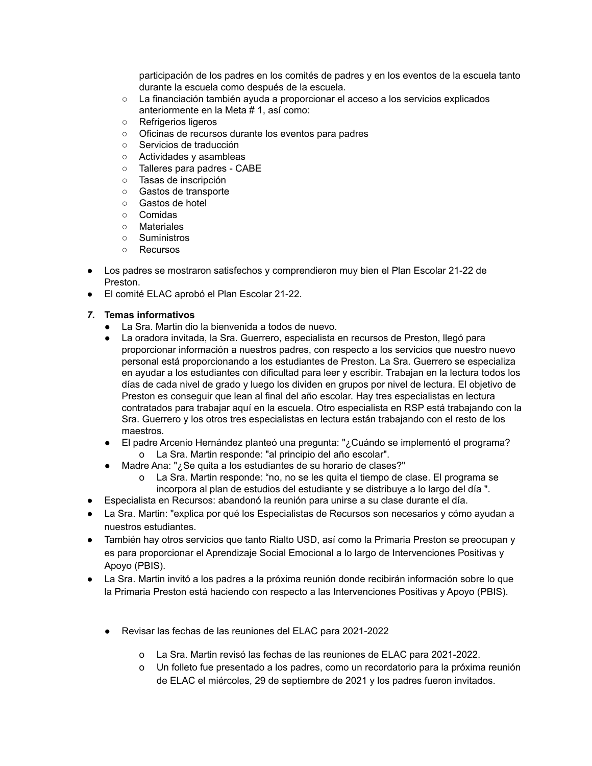participación de los padres en los comités de padres y en los eventos de la escuela tanto durante la escuela como después de la escuela.

- La financiación también ayuda a proporcionar el acceso a los servicios explicados anteriormente en la Meta # 1, así como:
- Refrigerios ligeros
- Oficinas de recursos durante los eventos para padres
- Servicios de traducción
- Actividades y asambleas
- Talleres para padres CABE
- Tasas de inscripción
- Gastos de transporte
- Gastos de hotel
- Comidas
- Materiales
- Suministros
- Recursos
- Los padres se mostraron satisfechos y comprendieron muy bien el Plan Escolar 21-22 de Preston.
- El comité ELAC aprobó el Plan Escolar 21-22.

### *7.* **Temas informativos**

- La Sra. Martin dio la bienvenida a todos de nuevo.
- La oradora invitada, la Sra. Guerrero, especialista en recursos de Preston, llegó para proporcionar información a nuestros padres, con respecto a los servicios que nuestro nuevo personal está proporcionando a los estudiantes de Preston. La Sra. Guerrero se especializa en ayudar a los estudiantes con dificultad para leer y escribir. Trabajan en la lectura todos los días de cada nivel de grado y luego los dividen en grupos por nivel de lectura. El objetivo de Preston es conseguir que lean al final del año escolar. Hay tres especialistas en lectura contratados para trabajar aquí en la escuela. Otro especialista en RSP está trabajando con la Sra. Guerrero y los otros tres especialistas en lectura están trabajando con el resto de los maestros.
- El padre Arcenio Hernández planteó una pregunta: "¿Cuándo se implementó el programa? o La Sra. Martin responde: "al principio del año escolar".
- Madre Ana: "¿Se quita a los estudiantes de su horario de clases?"
	- o La Sra. Martin responde: "no, no se les quita el tiempo de clase. El programa se incorpora al plan de estudios del estudiante y se distribuye a lo largo del día ".
- Especialista en Recursos: abandonó la reunión para unirse a su clase durante el día.
- La Sra. Martin: "explica por qué los Especialistas de Recursos son necesarios y cómo ayudan a nuestros estudiantes.
- También hay otros servicios que tanto Rialto USD, así como la Primaria Preston se preocupan y es para proporcionar el Aprendizaje Social Emocional a lo largo de Intervenciones Positivas y Apoyo (PBIS).
- La Sra. Martin invitó a los padres a la próxima reunión donde recibirán información sobre lo que la Primaria Preston está haciendo con respecto a las Intervenciones Positivas y Apoyo (PBIS).
	- Revisar las fechas de las reuniones del ELAC para 2021-2022
		- o La Sra. Martin revisó las fechas de las reuniones de ELAC para 2021-2022.
		- o Un folleto fue presentado a los padres, como un recordatorio para la próxima reunión de ELAC el miércoles, 29 de septiembre de 2021 y los padres fueron invitados.